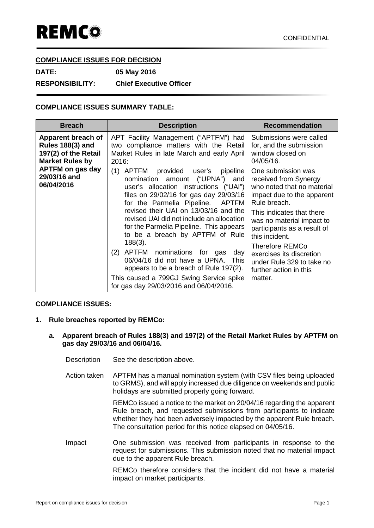## **COMPLIANCE ISSUES FOR DECISION**

**DATE: 05 May 2016**

**RESPONSIBILITY: Chief Executive Officer**

## **COMPLIANCE ISSUES SUMMARY TABLE:**

| <b>Breach</b>                                                                                   | <b>Description</b>                                                                                                                                                                                                                                                                                                                                                                                                                                                                                                                                                                                   | <b>Recommendation</b>                                                                                                                                                                                                                                                                                                                                      |
|-------------------------------------------------------------------------------------------------|------------------------------------------------------------------------------------------------------------------------------------------------------------------------------------------------------------------------------------------------------------------------------------------------------------------------------------------------------------------------------------------------------------------------------------------------------------------------------------------------------------------------------------------------------------------------------------------------------|------------------------------------------------------------------------------------------------------------------------------------------------------------------------------------------------------------------------------------------------------------------------------------------------------------------------------------------------------------|
| Apparent breach of<br><b>Rules 188(3) and</b><br>197(2) of the Retail<br><b>Market Rules by</b> | APT Facility Management ("APTFM") had<br>two compliance matters with the Retail<br>Market Rules in late March and early April<br>2016:                                                                                                                                                                                                                                                                                                                                                                                                                                                               | Submissions were called<br>for, and the submission<br>window closed on<br>04/05/16.                                                                                                                                                                                                                                                                        |
| <b>APTFM on gas day</b><br>29/03/16 and<br>06/04/2016                                           | (1)<br>APTFM provided user's<br>pipeline<br>nomination amount ("UPNA")<br>and<br>user's allocation instructions ("UAI")<br>files on 29/02/16 for gas day 29/03/16<br>for the Parmelia Pipeline. APTFM<br>revised their UAI on 13/03/16 and the<br>revised UAI did not include an allocation<br>for the Parmelia Pipeline. This appears<br>to be a breach by APTFM of Rule<br>$188(3)$ .<br>(2) APTFM nominations for gas<br>day<br>06/04/16 did not have a UPNA. This<br>appears to be a breach of Rule 197(2).<br>This caused a 799GJ Swing Service spike<br>for gas day 29/03/2016 and 06/04/2016. | One submission was<br>received from Synergy<br>who noted that no material<br>impact due to the apparent<br>Rule breach.<br>This indicates that there<br>was no material impact to<br>participants as a result of<br>this incident.<br><b>Therefore REMCo</b><br>exercises its discretion<br>under Rule 329 to take no<br>further action in this<br>matter. |

## **COMPLIANCE ISSUES:**

- **1. Rule breaches reported by REMCo:**
	- **a. Apparent breach of Rules 188(3) and 197(2) of the Retail Market Rules by APTFM on gas day 29/03/16 and 06/04/16.**
		- Description See the description above.
		- Action taken APTFM has a manual nomination system (with CSV files being uploaded to GRMS), and will apply increased due diligence on weekends and public holidays are submitted properly going forward.

REMCo issued a notice to the market on 20/04/16 regarding the apparent Rule breach, and requested submissions from participants to indicate whether they had been adversely impacted by the apparent Rule breach. The consultation period for this notice elapsed on 04/05/16.

Impact One submission was received from participants in response to the request for submissions. This submission noted that no material impact due to the apparent Rule breach.

> REMCo therefore considers that the incident did not have a material impact on market participants.